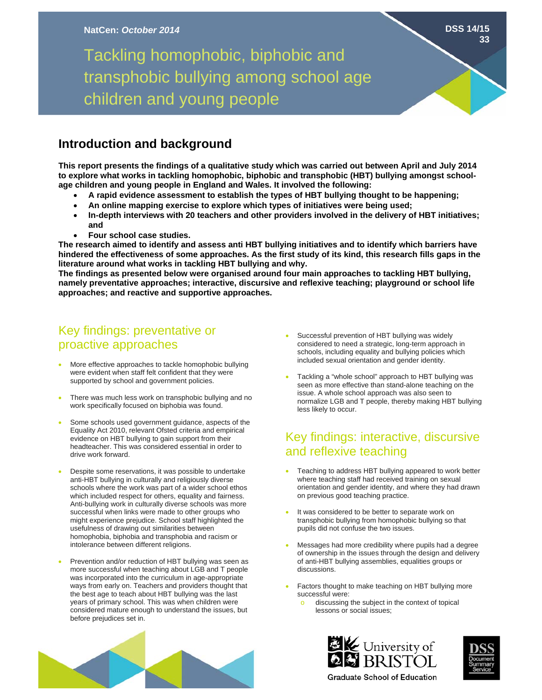# Tackling homophobic, biphobic and transphobic bullying among school age children and young people

#### **Introduction and background**

**This report presents the findings of a qualitative study which was carried out between April and July 2014 to explore what works in tackling homophobic, biphobic and transphobic (HBT) bullying amongst schoolage children and young people in England and Wales. It involved the following:** 

- **A rapid evidence assessment to establish the types of HBT bullying thought to be happening;**
- **An online mapping exercise to explore which types of initiatives were being used;**
- **In-depth interviews with 20 teachers and other providers involved in the delivery of HBT initiatives; and**
- **Four school case studies.**

**The research aimed to identify and assess anti HBT bullying initiatives and to identify which barriers have hindered the effectiveness of some approaches. As the first study of its kind, this research fills gaps in the literature around what works in tackling HBT bullying and why.** 

**The findings as presented below were organised around four main approaches to tackling HBT bullying, namely preventative approaches; interactive, discursive and reflexive teaching; playground or school life approaches; and reactive and supportive approaches.** 

## Key findings: preventative or proactive approaches

- More effective approaches to tackle homophobic bullying were evident when staff felt confident that they were supported by school and government policies.
- There was much less work on transphobic bullying and no work specifically focused on biphobia was found.
- Some schools used government guidance, aspects of the Equality Act 2010, relevant Ofsted criteria and empirical evidence on HBT bullying to gain support from their headteacher. This was considered essential in order to drive work forward.
- Despite some reservations, it was possible to undertake anti-HBT bullying in culturally and religiously diverse schools where the work was part of a wider school ethos which included respect for others, equality and fairness. Anti-bullying work in culturally diverse schools was more successful when links were made to other groups who might experience prejudice. School staff highlighted the usefulness of drawing out similarities between homophobia, biphobia and transphobia and racism or intolerance between different religions.
- Prevention and/or reduction of HBT bullying was seen as more successful when teaching about LGB and T people was incorporated into the curriculum in age-appropriate ways from early on. Teachers and providers thought that the best age to teach about HBT bullying was the last years of primary school. This was when children were considered mature enough to understand the issues, but before prejudices set in.
- Successful prevention of HBT bullying was widely considered to need a strategic, long-term approach in schools, including equality and bullying policies which included sexual orientation and gender identity.
- Tackling a "whole school" approach to HBT bullying was seen as more effective than stand-alone teaching on the issue. A whole school approach was also seen to normalize LGB and T people, thereby making HBT bullying less likely to occur.

## Key findings: interactive, discursive and reflexive teaching

- Teaching to address HBT bullying appeared to work better where teaching staff had received training on sexual orientation and gender identity, and where they had drawn on previous good teaching practice.
- It was considered to be better to separate work on transphobic bullying from homophobic bullying so that pupils did not confuse the two issues.
- Messages had more credibility where pupils had a degree of ownership in the issues through the design and delivery of anti-HBT bullying assemblies, equalities groups or discussions.
- Factors thought to make teaching on HBT bullying more successful were:
	- discussing the subject in the context of topical lessons or social issues;







**Graduate School of Education**